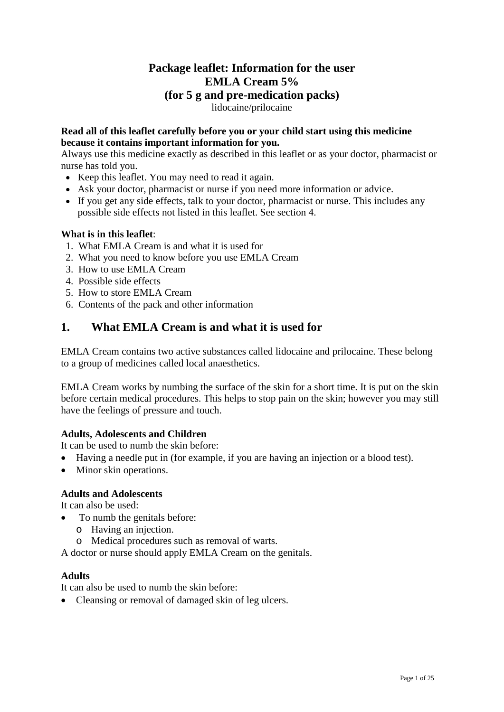## **Package leaflet: Information for the user EMLA Cream 5% (for 5 g and pre-medication packs)** lidocaine/prilocaine

### **Read all of this leaflet carefully before you or your child start using this medicine because it contains important information for you.**

Always use this medicine exactly as described in this leaflet or as your doctor, pharmacist or nurse has told you.

- Keep this leaflet. You may need to read it again.
- Ask your doctor, pharmacist or nurse if you need more information or advice.
- If you get any side effects, talk to your doctor, pharmacist or nurse. This includes any possible side effects not listed in this leaflet. See section 4.

### **What is in this leaflet**:

- 1. What EMLA Cream is and what it is used for
- 2. What you need to know before you use EMLA Cream
- 3. How to use EMLA Cream
- 4. Possible side effects
- 5. How to store EMLA Cream
- 6. Contents of the pack and other information

## **1. What EMLA Cream is and what it is used for**

EMLA Cream contains two active substances called lidocaine and prilocaine. These belong to a group of medicines called local anaesthetics.

EMLA Cream works by numbing the surface of the skin for a short time. It is put on the skin before certain medical procedures. This helps to stop pain on the skin; however you may still have the feelings of pressure and touch.

### **Adults, Adolescents and Children**

It can be used to numb the skin before:

- Having a needle put in (for example, if you are having an injection or a blood test).
- Minor skin operations.

### **Adults and Adolescents**

It can also be used:

- To numb the genitals before:
	- o Having an injection.
	- o Medical procedures such as removal of warts.

A doctor or nurse should apply EMLA Cream on the genitals.

### **Adults**

It can also be used to numb the skin before:

• Cleansing or removal of damaged skin of leg ulcers.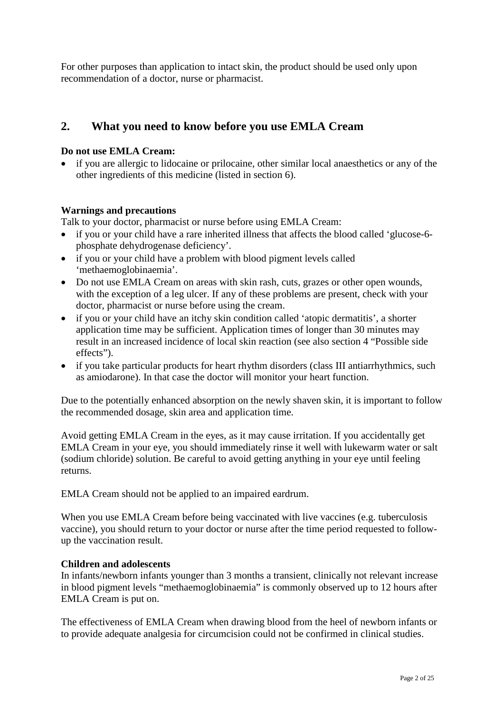For other purposes than application to intact skin, the product should be used only upon recommendation of a doctor, nurse or pharmacist.

## **2. What you need to know before you use EMLA Cream**

#### **Do not use EMLA Cream:**

• if you are allergic to lidocaine or prilocaine, other similar local anaesthetics or any of the other ingredients of this medicine (listed in section 6).

#### **Warnings and precautions**

Talk to your doctor, pharmacist or nurse before using EMLA Cream:

- if you or your child have a rare inherited illness that affects the blood called 'glucose-6phosphate dehydrogenase deficiency'.
- if you or your child have a problem with blood pigment levels called 'methaemoglobinaemia'.
- Do not use EMLA Cream on areas with skin rash, cuts, grazes or other open wounds, with the exception of a leg ulcer. If any of these problems are present, check with your doctor, pharmacist or nurse before using the cream.
- if you or your child have an itchy skin condition called 'atopic dermatitis', a shorter application time may be sufficient. Application times of longer than 30 minutes may result in an increased incidence of local skin reaction (see also section 4 "Possible side effects").
- if you take particular products for heart rhythm disorders (class III antiarrhythmics, such as amiodarone). In that case the doctor will monitor your heart function.

Due to the potentially enhanced absorption on the newly shaven skin, it is important to follow the recommended dosage, skin area and application time.

Avoid getting EMLA Cream in the eyes, as it may cause irritation. If you accidentally get EMLA Cream in your eye, you should immediately rinse it well with lukewarm water or salt (sodium chloride) solution. Be careful to avoid getting anything in your eye until feeling returns.

EMLA Cream should not be applied to an impaired eardrum.

When you use EMLA Cream before being vaccinated with live vaccines (e.g. tuberculosis vaccine), you should return to your doctor or nurse after the time period requested to followup the vaccination result.

#### **Children and adolescents**

In infants/newborn infants younger than 3 months a transient, clinically not relevant increase in blood pigment levels "methaemoglobinaemia" is commonly observed up to 12 hours after EMLA Cream is put on.

The effectiveness of EMLA Cream when drawing blood from the heel of newborn infants or to provide adequate analgesia for circumcision could not be confirmed in clinical studies.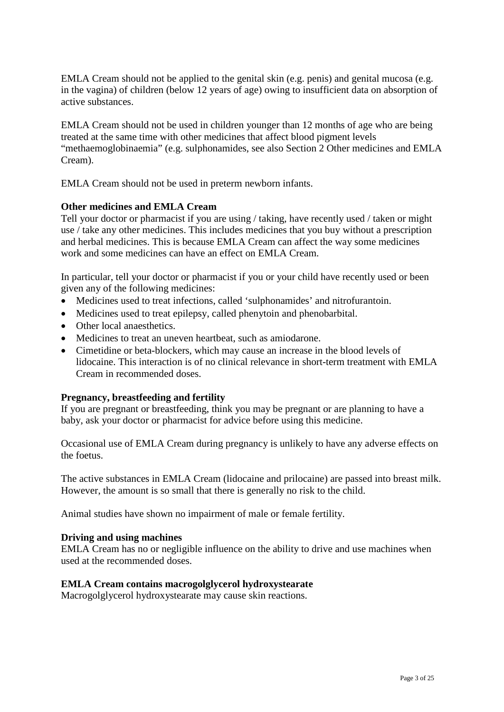EMLA Cream should not be applied to the genital skin (e.g. penis) and genital mucosa (e.g. in the vagina) of children (below 12 years of age) owing to insufficient data on absorption of active substances.

EMLA Cream should not be used in children younger than 12 months of age who are being treated at the same time with other medicines that affect blood pigment levels "methaemoglobinaemia" (e.g. sulphonamides, see also Section 2 Other medicines and EMLA Cream).

EMLA Cream should not be used in preterm newborn infants.

### **Other medicines and EMLA Cream**

Tell your doctor or pharmacist if you are using / taking, have recently used / taken or might use / take any other medicines. This includes medicines that you buy without a prescription and herbal medicines. This is because EMLA Cream can affect the way some medicines work and some medicines can have an effect on EMLA Cream.

In particular, tell your doctor or pharmacist if you or your child have recently used or been given any of the following medicines:

- Medicines used to treat infections, called 'sulphonamides' and nitrofurantoin.
- Medicines used to treat epilepsy, called phenytoin and phenobarbital.
- Other local anaesthetics.
- Medicines to treat an uneven heartbeat, such as amiodarone.
- Cimetidine or beta-blockers, which may cause an increase in the blood levels of lidocaine. This interaction is of no clinical relevance in short-term treatment with EMLA Cream in recommended doses.

### **Pregnancy, breastfeeding and fertility**

If you are pregnant or breastfeeding, think you may be pregnant or are planning to have a baby, ask your doctor or pharmacist for advice before using this medicine.

Occasional use of EMLA Cream during pregnancy is unlikely to have any adverse effects on the foetus.

The active substances in EMLA Cream (lidocaine and prilocaine) are passed into breast milk. However, the amount is so small that there is generally no risk to the child.

Animal studies have shown no impairment of male or female fertility.

### **Driving and using machines**

EMLA Cream has no or negligible influence on the ability to drive and use machines when used at the recommended doses.

### **EMLA Cream contains macrogolglycerol hydroxystearate**

Macrogolglycerol hydroxystearate may cause skin reactions.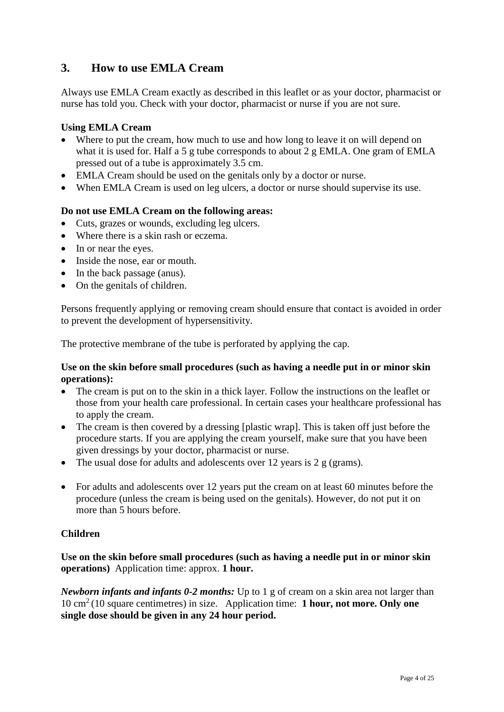## **3. How to use EMLA Cream**

Always use EMLA Cream exactly as described in this leaflet or as your doctor, pharmacist or nurse has told you. Check with your doctor, pharmacist or nurse if you are not sure.

### **Using EMLA Cream**

- Where to put the cream, how much to use and how long to leave it on will depend on what it is used for. Half a 5 g tube corresponds to about 2 g EMLA. One gram of EMLA pressed out of a tube is approximately 3.5 cm.
- EMLA Cream should be used on the genitals only by a doctor or nurse.
- When EMLA Cream is used on leg ulcers, a doctor or nurse should supervise its use.

### **Do not use EMLA Cream on the following areas:**

- Cuts, grazes or wounds, excluding leg ulcers.
- Where there is a skin rash or eczema.
- In or near the eyes.
- Inside the nose, ear or mouth.
- In the back passage (anus).
- On the genitals of children.

Persons frequently applying or removing cream should ensure that contact is avoided in order to prevent the development of hypersensitivity.

The protective membrane of the tube is perforated by applying the cap.

#### **Use on the skin before small procedures (such as having a needle put in or minor skin operations):**

- The cream is put on to the skin in a thick layer. Follow the instructions on the leaflet or those from your health care professional. In certain cases your healthcare professional has to apply the cream.
- The cream is then covered by a dressing [plastic wrap]. This is taken off just before the procedure starts. If you are applying the cream yourself, make sure that you have been given dressings by your doctor, pharmacist or nurse.
- The usual dose for adults and adolescents over 12 years is 2 g (grams).
- For adults and adolescents over 12 years put the cream on at least 60 minutes before the procedure (unless the cream is being used on the genitals). However, do not put it on more than 5 hours before.

#### **Children**

### **Use on the skin before small procedures (such as having a needle put in or minor skin operations)** Application time: approx. **1 hour.**

*Newborn infants and infants 0-2 months:* Up to 1 g of cream on a skin area not larger than 10 cm2 (10 square centimetres) in size. Application time: **1 hour, not more. Only one single dose should be given in any 24 hour period.**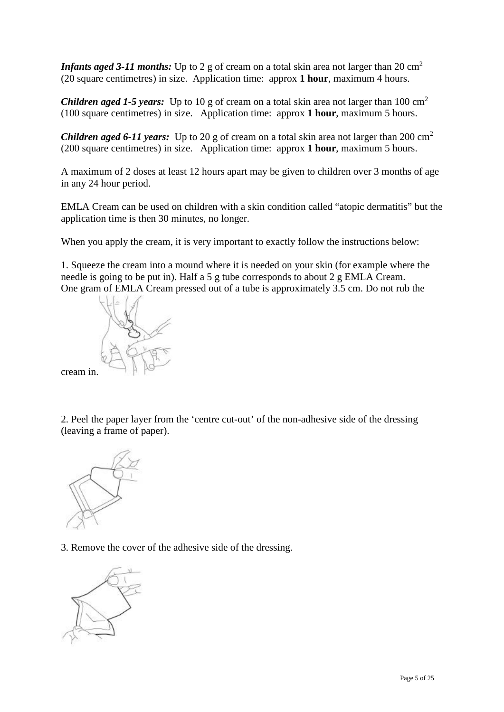*Infants aged 3-11 months:* Up to 2 g of cream on a total skin area not larger than 20 cm<sup>2</sup> (20 square centimetres) in size. Application time: approx **1 hour**, maximum 4 hours.

*Children aged 1-5 years:* Up to 10 g of cream on a total skin area not larger than 100 cm<sup>2</sup> (100 square centimetres) in size. Application time: approx **1 hour**, maximum 5 hours.

*Children aged 6-11 years:* Up to 20 g of cream on a total skin area not larger than 200 cm<sup>2</sup> (200 square centimetres) in size. Application time: approx **1 hour**, maximum 5 hours.

A maximum of 2 doses at least 12 hours apart may be given to children over 3 months of age in any 24 hour period.

EMLA Cream can be used on children with a skin condition called "atopic dermatitis" but the application time is then 30 minutes, no longer.

When you apply the cream, it is very important to exactly follow the instructions below:

1. Squeeze the cream into a mound where it is needed on your skin (for example where the needle is going to be put in). Half a 5 g tube corresponds to about 2 g EMLA Cream. One gram of EMLA Cream pressed out of a tube is approximately 3.5 cm. Do not rub the



cream in.

2. Peel the paper layer from the 'centre cut-out' of the non-adhesive side of the dressing (leaving a frame of paper).



3. Remove the cover of the adhesive side of the dressing.

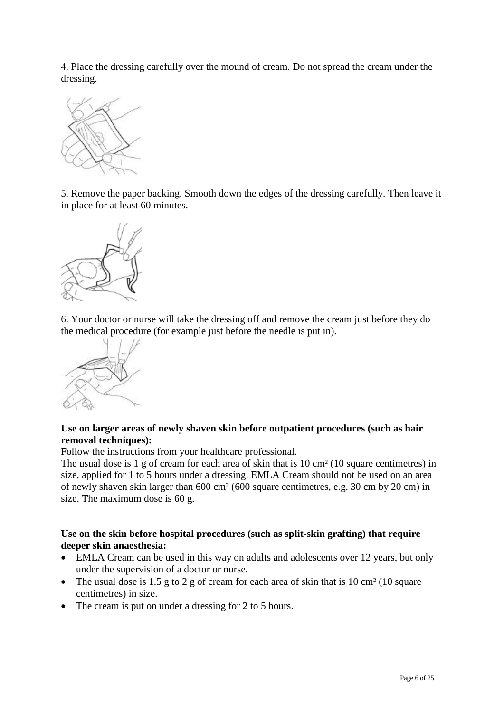4. Place the dressing carefully over the mound of cream. Do not spread the cream under the dressing.



5. Remove the paper backing. Smooth down the edges of the dressing carefully. Then leave it in place for at least 60 minutes.



6. Your doctor or nurse will take the dressing off and remove the cream just before they do the medical procedure (for example just before the needle is put in).



### **Use on larger areas of newly shaven skin before outpatient procedures (such as hair removal techniques):**

Follow the instructions from your healthcare professional.

The usual dose is 1 g of cream for each area of skin that is 10 cm<sup>2</sup> (10 square centimetres) in size, applied for 1 to 5 hours under a dressing. EMLA Cream should not be used on an area of newly shaven skin larger than 600 cm² (600 square centimetres, e.g. 30 cm by 20 cm) in size. The maximum dose is 60 g.

### **Use on the skin before hospital procedures (such as split-skin grafting) that require deeper skin anaesthesia:**

- EMLA Cream can be used in this way on adults and adolescents over 12 years, but only under the supervision of a doctor or nurse.
- The usual dose is 1.5 g to 2 g of cream for each area of skin that is 10 cm<sup>2</sup> (10 square centimetres) in size.
- The cream is put on under a dressing for 2 to 5 hours.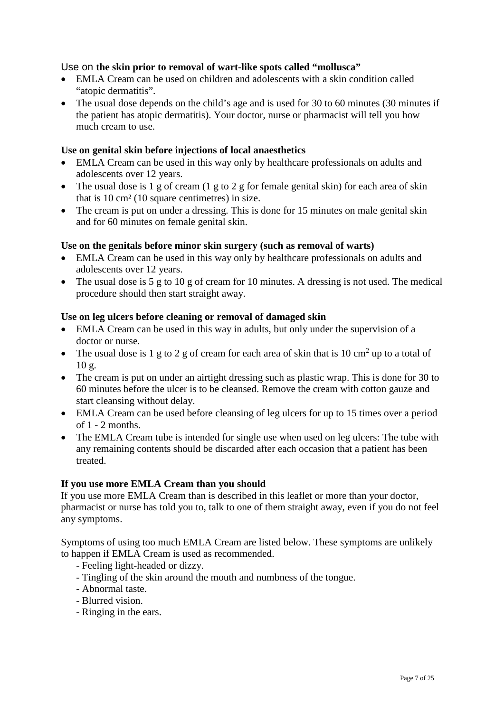### Use on **the skin prior to removal of wart-like spots called "mollusca"**

- EMLA Cream can be used on children and adolescents with a skin condition called "atopic dermatitis".
- The usual dose depends on the child's age and is used for 30 to 60 minutes (30 minutes if the patient has atopic dermatitis). Your doctor, nurse or pharmacist will tell you how much cream to use.

### **Use on genital skin before injections of local anaesthetics**

- EMLA Cream can be used in this way only by healthcare professionals on adults and adolescents over 12 years.
- The usual dose is 1 g of cream  $(1 \text{ g to 2 g for female genital skin})$  for each area of skin that is 10 cm² (10 square centimetres) in size.
- The cream is put on under a dressing. This is done for 15 minutes on male genital skin and for 60 minutes on female genital skin.

### **Use on the genitals before minor skin surgery (such as removal of warts)**

- EMLA Cream can be used in this way only by healthcare professionals on adults and adolescents over 12 years.
- The usual dose is 5 g to 10 g of cream for 10 minutes. A dressing is not used. The medical procedure should then start straight away.

#### **Use on leg ulcers before cleaning or removal of damaged skin**

- EMLA Cream can be used in this way in adults, but only under the supervision of a doctor or nurse.
- The usual dose is 1 g to 2 g of cream for each area of skin that is 10 cm<sup>2</sup> up to a total of 10 g.
- The cream is put on under an airtight dressing such as plastic wrap. This is done for 30 to 60 minutes before the ulcer is to be cleansed. Remove the cream with cotton gauze and start cleansing without delay.
- EMLA Cream can be used before cleansing of leg ulcers for up to 15 times over a period of 1 - 2 months.
- The EMLA Cream tube is intended for single use when used on leg ulcers: The tube with any remaining contents should be discarded after each occasion that a patient has been treated.

### **If you use more EMLA Cream than you should**

If you use more EMLA Cream than is described in this leaflet or more than your doctor, pharmacist or nurse has told you to, talk to one of them straight away, even if you do not feel any symptoms.

Symptoms of using too much EMLA Cream are listed below. These symptoms are unlikely to happen if EMLA Cream is used as recommended.

- Feeling light-headed or dizzy.
- Tingling of the skin around the mouth and numbness of the tongue.
- Abnormal taste.
- Blurred vision.
- Ringing in the ears.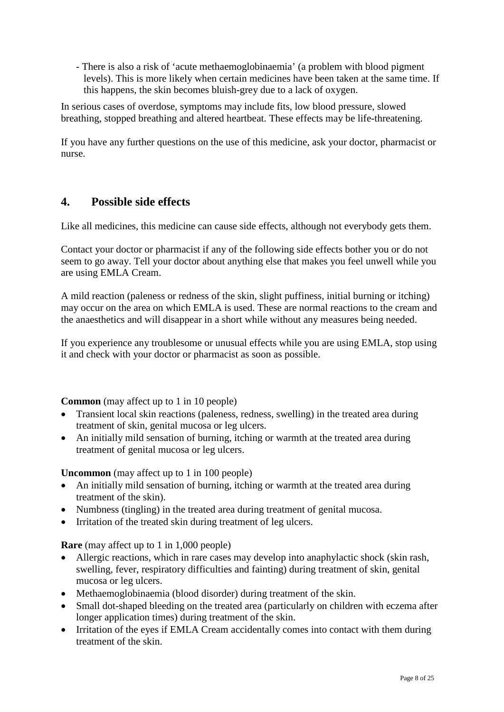- There is also a risk of 'acute methaemoglobinaemia' (a problem with blood pigment levels). This is more likely when certain medicines have been taken at the same time. If this happens, the skin becomes bluish-grey due to a lack of oxygen.

In serious cases of overdose, symptoms may include fits, low blood pressure, slowed breathing, stopped breathing and altered heartbeat. These effects may be life-threatening.

If you have any further questions on the use of this medicine, ask your doctor, pharmacist or nurse.

## **4. Possible side effects**

Like all medicines, this medicine can cause side effects, although not everybody gets them.

Contact your doctor or pharmacist if any of the following side effects bother you or do not seem to go away. Tell your doctor about anything else that makes you feel unwell while you are using EMLA Cream.

A mild reaction (paleness or redness of the skin, slight puffiness, initial burning or itching) may occur on the area on which EMLA is used. These are normal reactions to the cream and the anaesthetics and will disappear in a short while without any measures being needed.

If you experience any troublesome or unusual effects while you are using EMLA, stop using it and check with your doctor or pharmacist as soon as possible.

**Common** (may affect up to 1 in 10 people)

- Transient local skin reactions (paleness, redness, swelling) in the treated area during treatment of skin, genital mucosa or leg ulcers.
- An initially mild sensation of burning, itching or warmth at the treated area during treatment of genital mucosa or leg ulcers.

**Uncommon** (may affect up to 1 in 100 people)

- An initially mild sensation of burning, itching or warmth at the treated area during treatment of the skin).
- Numbness (tingling) in the treated area during treatment of genital mucosa.
- Irritation of the treated skin during treatment of leg ulcers.

**Rare** (may affect up to 1 in 1,000 people)

- Allergic reactions, which in rare cases may develop into anaphylactic shock (skin rash, swelling, fever, respiratory difficulties and fainting) during treatment of skin, genital mucosa or leg ulcers.
- Methaemoglobinaemia (blood disorder) during treatment of the skin.
- Small dot-shaped bleeding on the treated area (particularly on children with eczema after longer application times) during treatment of the skin.
- Irritation of the eyes if EMLA Cream accidentally comes into contact with them during treatment of the skin.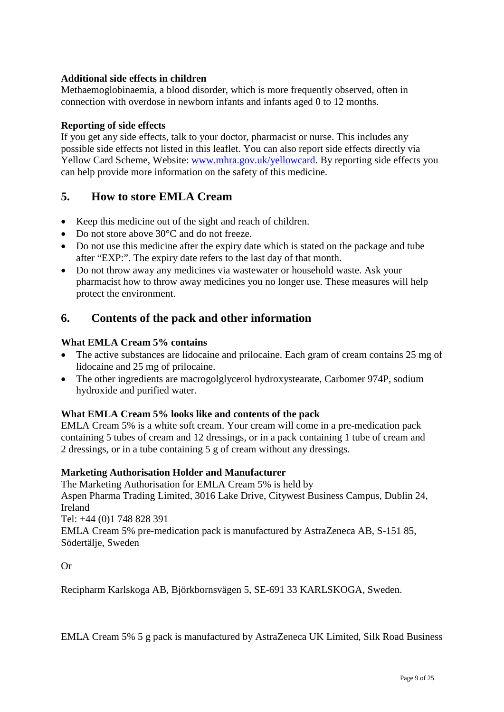### **Additional side effects in children**

Methaemoglobinaemia, a blood disorder, which is more frequently observed, often in connection with overdose in newborn infants and infants aged 0 to 12 months.

### **Reporting of side effects**

If you get any side effects, talk to your doctor, pharmacist or nurse. This includes any possible side effects not listed in this leaflet. You can also report side effects directly via Yellow Card Scheme, Website: [www.mhra.gov.uk/yellowcard.](http://www.mhra.gov.uk/yellowcard) By reporting side effects you can help provide more information on the safety of this medicine.

## **5. How to store EMLA Cream**

- Keep this medicine out of the sight and reach of children.
- Do not store above 30°C and do not freeze.
- Do not use this medicine after the expiry date which is stated on the package and tube after "EXP:". The expiry date refers to the last day of that month.
- Do not throw away any medicines via wastewater or household waste. Ask your pharmacist how to throw away medicines you no longer use. These measures will help protect the environment.

## **6. Contents of the pack and other information**

### **What EMLA Cream 5% contains**

- The active substances are lidocaine and prilocaine. Each gram of cream contains 25 mg of lidocaine and 25 mg of prilocaine.
- The other ingredients are macrogolglycerol hydroxystearate, Carbomer 974P, sodium hydroxide and purified water.

### **What EMLA Cream 5% looks like and contents of the pack**

EMLA Cream 5% is a white soft cream. Your cream will come in a pre-medication pack containing 5 tubes of cream and 12 dressings, or in a pack containing 1 tube of cream and 2 dressings, or in a tube containing 5 g of cream without any dressings.

### **Marketing Authorisation Holder and Manufacturer**

The Marketing Authorisation for EMLA Cream 5% is held by Aspen Pharma Trading Limited, 3016 Lake Drive, Citywest Business Campus, Dublin 24, Ireland Tel: +44 (0)1 748 828 391 EMLA Cream 5% pre-medication pack is manufactured by AstraZeneca AB, S-151 85, Södertälje, Sweden

Or

Recipharm Karlskoga AB, Björkbornsvägen 5, SE-691 33 KARLSKOGA, Sweden.

EMLA Cream 5% 5 g pack is manufactured by AstraZeneca UK Limited, Silk Road Business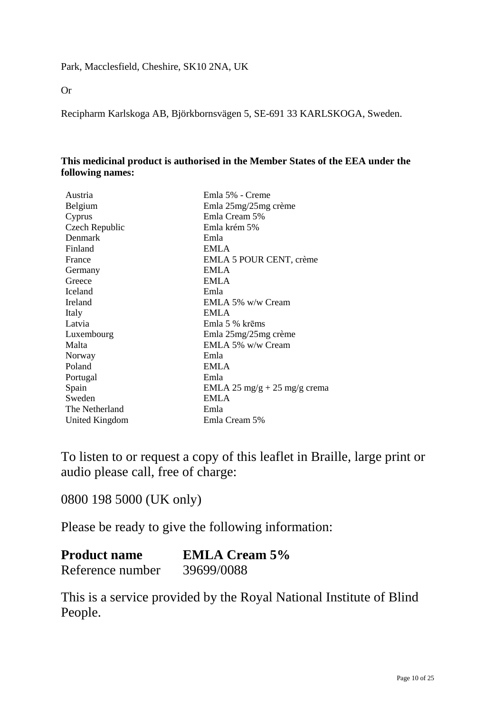Or

Recipharm Karlskoga AB, Björkbornsvägen 5, SE-691 33 KARLSKOGA, Sweden.

### **This medicinal product is authorised in the Member States of the EEA under the following names:**

| Austria        | Emla 5% - Creme              |
|----------------|------------------------------|
| Belgium        | Emla 25mg/25mg crème         |
| Cyprus         | Emla Cream 5%                |
| Czech Republic | Emla krém 5%                 |
| Denmark        | Emla                         |
| Finland        | <b>EMLA</b>                  |
| France         | EMLA 5 POUR CENT, crème      |
| Germany        | <b>EMLA</b>                  |
| Greece         | <b>EMLA</b>                  |
| Iceland        | Emla                         |
| Ireland        | EMLA 5% w/w Cream            |
| Italy          | <b>EMLA</b>                  |
| Latvia         | Emla 5 % krēms               |
| Luxembourg     | Emla 25mg/25mg crème         |
| Malta          | EMLA 5% w/w Cream            |
| Norway         | Emla                         |
| Poland         | <b>EMLA</b>                  |
| Portugal       | Emla                         |
| Spain          | EMLA 25 mg/g + 25 mg/g crema |
| Sweden         | <b>EMLA</b>                  |
| The Netherland | Emla                         |
| United Kingdom | Emla Cream 5%                |

To listen to or request a copy of this leaflet in Braille, large print or audio please call, free of charge:

0800 198 5000 (UK only)

Please be ready to give the following information:

# **Product name EMLA Cream 5%**  Reference number 39699/0088

This is a service provided by the Royal National Institute of Blind People.